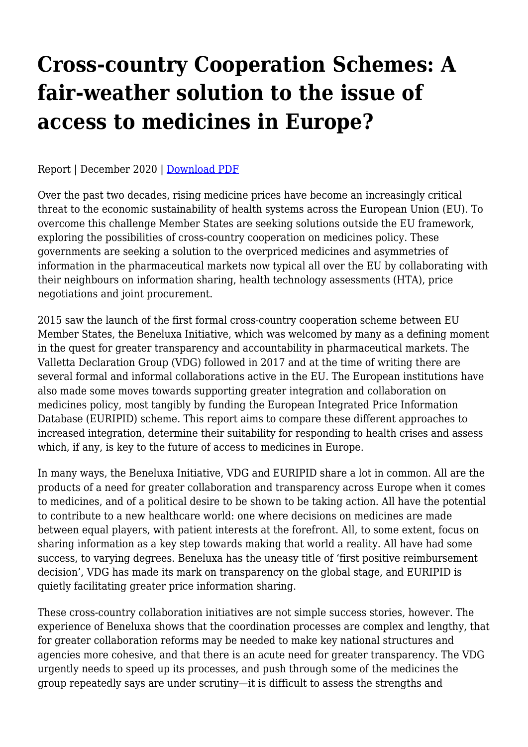## **Cross-country Cooperation Schemes: A fair-weather solution to the issue of access to medicines in Europe?**

Report | December 2020 | [Download PDF](https://haiweb.org/wp-content/uploads/2020/12/Report-Cross-Country-Cooperation.pdf)

Over the past two decades, rising medicine prices have become an increasingly critical threat to the economic sustainability of health systems across the European Union (EU). To overcome this challenge Member States are seeking solutions outside the EU framework, exploring the possibilities of cross-country cooperation on medicines policy. These governments are seeking a solution to the overpriced medicines and asymmetries of information in the pharmaceutical markets now typical all over the EU by collaborating with their neighbours on information sharing, health technology assessments (HTA), price negotiations and joint procurement.

2015 saw the launch of the first formal cross-country cooperation scheme between EU Member States, the Beneluxa Initiative, which was welcomed by many as a defining moment in the quest for greater transparency and accountability in pharmaceutical markets. The Valletta Declaration Group (VDG) followed in 2017 and at the time of writing there are several formal and informal collaborations active in the EU. The European institutions have also made some moves towards supporting greater integration and collaboration on medicines policy, most tangibly by funding the European Integrated Price Information Database (EURIPID) scheme. This report aims to compare these different approaches to increased integration, determine their suitability for responding to health crises and assess which, if any, is key to the future of access to medicines in Europe.

In many ways, the Beneluxa Initiative, VDG and EURIPID share a lot in common. All are the products of a need for greater collaboration and transparency across Europe when it comes to medicines, and of a political desire to be shown to be taking action. All have the potential to contribute to a new healthcare world: one where decisions on medicines are made between equal players, with patient interests at the forefront. All, to some extent, focus on sharing information as a key step towards making that world a reality. All have had some success, to varying degrees. Beneluxa has the uneasy title of 'first positive reimbursement decision', VDG has made its mark on transparency on the global stage, and EURIPID is quietly facilitating greater price information sharing.

These cross-country collaboration initiatives are not simple success stories, however. The experience of Beneluxa shows that the coordination processes are complex and lengthy, that for greater collaboration reforms may be needed to make key national structures and agencies more cohesive, and that there is an acute need for greater transparency. The VDG urgently needs to speed up its processes, and push through some of the medicines the group repeatedly says are under scrutiny—it is difficult to assess the strengths and